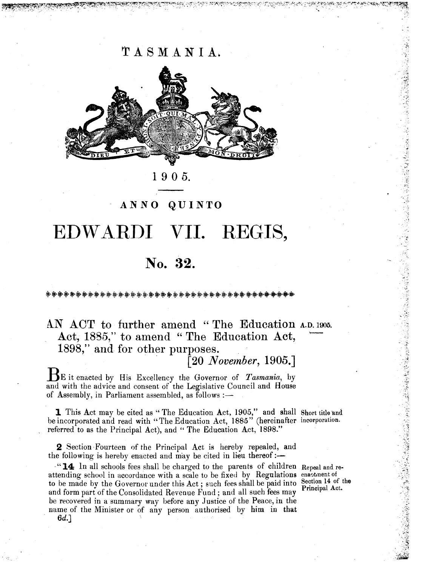TASMANIA.



1 905.

### AN NO QUINTO

# EDWARDI **VII.** REGIS,

## **No. 32.**

\*\*\*\*\*\*\*\*\*\*\*\*\*\*\*\*\*\*\*\*\*\*\*\*

AN ACT to further amend "The Education A.D. 1905. Act, 1885," to amend "The Education Act, 1898," and for other purposes.<br>
<sup>1905,1</sup> *[20 November, 1905.]*  $\frac{D.1}{\cdot \cdot \cdot}$ 

BE it enacted by His Excellency the Governor of *Tasmania,* by and with the advice and consent of the Legislative Council and House of Assembly, in Parliament assembled, as follows : $\rightarrow$ 

1 This Act may be cited as "The Education Act, 1905," and shall Short title and be incorporated and read with "The Education Act, 1885" (hereinafter incorporation. referred to as the Principal Act), and "The Education Act, 1898."

2 Section Fourteen of the Principal Act is hereby repealed, and the following is hereby enacted and may be cited in lieu thereof: $\frac{...}{...}$ 

." **14** In all schools fees shall be charged to the parents of children Repeal and reattending school in accordance with a scale to be fixed by Regulations enactment of to be made by the Governor under this Act; such fees shall be paid into Section 14 of the **2** Section Fourteen of the Principal Act is hereby repealed, and<br>the following is hereby enacted and may be cited in lieu thereof :—<br>" $14$  In all schools fees shall be charged to the parents of children Repeal and re-<br>at be recovered in a summary way before any Justice of the Peace, in the name of the Minister or of any person authorised by him in that

医心室 医心室 医心室 地名美国哈尔

"我们的一个人,我们的一个人,我们的一个人,我们的一个人,我们的一个人,我们的一个人,我们的一个人,我们的一个人,我们的一个人,我们的一个人,我们的一个人,我们的一个人,我们的一个人,我们的一个人,我们的一个人,我们的一个人,我们的一个人,我们的一个人,我们的一个人,我们的一个人,我们的一个人,我们的一个人,我们的一个人,我们的一个人,我们的一个人,我们的一个人,我们

6d.]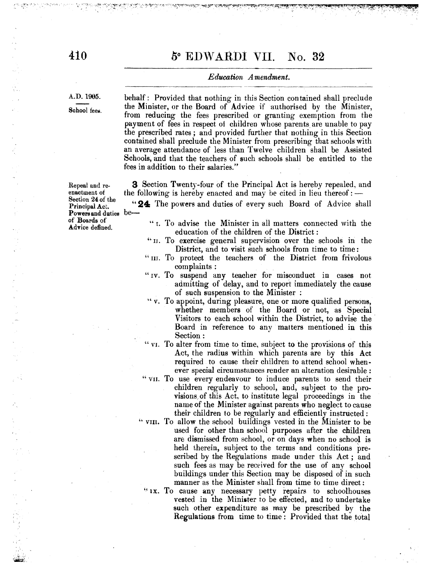### 5° EDWARDI VII. No. 32

#### *Education Amendment.*

A.D.1905.

School fees.

behalf: Provided that nothing in this Section con tained shall preclude the Minister, or the Board of Advice if authorised by the Minister, from reducing the fees prescribed or granting exemption from the payment of fees in respect of children whose parents are unable to pay the prescribed rates; and provided further that nothing in this Section contained shall preclude the Minister from prescribing that schools with an average attendance of less than Twelve children shall be Assisted Schools, and that the teachers of such schools shall be entitled to the fees in addition to their salaries." '

**3** Section Twenty-four of the Principal Act is hereby repealed, and the following is hereby enacted and may be cited in lieu thereof:  $-$ 

**"24** The powers and duties of every such Board of Advice shall

- "I. To advise the Minister in all matters connected with the education of the children of the District:
- "II. To exercise general supervision over the schools in the District, and to visit such schools from time to time:
- "III. To protect the teachers of the District from frivolous complaints :
- "IV. To suspend any teacher for misconduct in cases not admitting of delay, and to report immediately the cause of such suspension to the Minister :
- .. v. To appoint, during pleasure, one or more qualified persons, whether members of the Board or not, as Special Visitors to each school within the District, to advise the' Board in reference to any matters mentioned in this Section:
- "VI. To alter from time to time, subject to the provisions of this Act, the radius within which parents are by this Act required to cause their children to attend school whenever special circumstances render an alteration desirable:
- "VII. To use every endeavour to induce parents to send their children regularly to school, and, subject to the provisions; of this Act, to institute legal proceedings in the name of the Minister against parents who neglect to cause their children to be regularly and efficiently instructed:
- "VIII. To allow the school buildings vested in the Minister to be used for other than school purposes after the children are dismissed from school, or on days when no school is held therein, subject to the terms and conditions prescribed by the Regulations made under this Act; and such fees as may be received for the use of any school buildings under this Section may be disposed of in such manner as the Minister shall from time to time direct:
	- "IX. To cause any necessary petty repairs to schoolhouses vested in the Minister to be effected, and to undertake such other expenditure as may be prescribed by the Regulations from time to time: Provided that the total

Repeal and reenactment of Section 24 of the Principal *Act.*  Powers and duties beof Boards of Advice defined.

 $\frac{1}{\sqrt{2}}$ 

推进者 医大脑病毒病毒 医前

 $:$   $\cdot$  $\mathbf{V}$ 

;.\,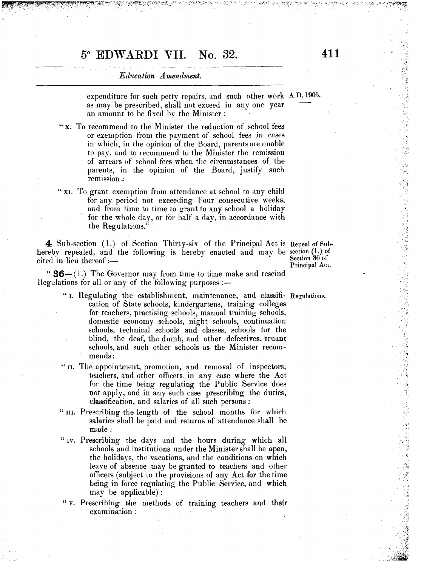### 50 **EDW ARDI VII. No. 32. 411**

#### *Education Amendment.*

expenditure for such petty repairs, and such other work A.D.1905. as may be prescribed, shall not exceed in anyone year an amount to be fixed by the Minister:

- "x. To recommend to the Minister the reduction of school fees or exemption from the payment of school fees in cases in which, in the opinion of the Board, parents are unable to pay, and to recommend to the Minister the remission of arrears of school fees when the circumstances of the parents, in the opinion of the Board, justify such remission :
- "XI. To grant exemption from attendance at school to any child for any period not exceeding Four consecutive weeks, and from time to time to grant to any school a holiday for the whole day, or for half a day, in accordance with the Regulations."

 $\blacktriangle$  Sub-section (1.) of Section Thirty-six of the Principal Act is Repeal of Subhereby repealed, and the following is hereby enacted and may be section  $\left( \cdot \right)$  of cited in lieu thereof: $-$ 

Section 36 of Principal Act.

" $36-$ (1.) The Governor may from time to time make and rescind Regulations for all or any of the following purposes : $-$ -

- "I. Regulating the establishment, maintenance, and classifi- Regulations. cation of State schools, kindergartens, training colleges for teachers, practising schools, manual training schools, domestic economy sehools, night schools, continuation schools, technical schools and classes, schools 10r the blind, the deaf, the dumb, and other defectives. truant schools, and such other schools as the Minister recommends:
- "n. The appointment, promotion, and removal of inspectors, teachers, and other officers, in any case where the Act for the time being regulating the Public Service does not apply, and in any such case prescribing the duties, classification, and salaries of all such persons:
- "III. Prescribing the length of the school months for which salaries shall be paid and returns of attendance shall be made:
- "Iv. Prescribing the days and the hours during which all schools and institutions under the Minister shall be open, the holidays, the vacations, and the conditions on which leave of absence may be granted to teachers and other officers (subject to the provisions of any Act for the time being in force regulating the Public Service, and which may be applicable):
- "v. Prescribing the methods of training teachers and their examination :

**THE CONSTRUCTION OF STATES AND STATES OF STATES AND REPORT OF STATES AND REPORT OF STATES AND REPORT OF STATES** 

 $\cdot$   $\cdot$ 

 $\approx$   $\cdot\,\!V_{\rm e}$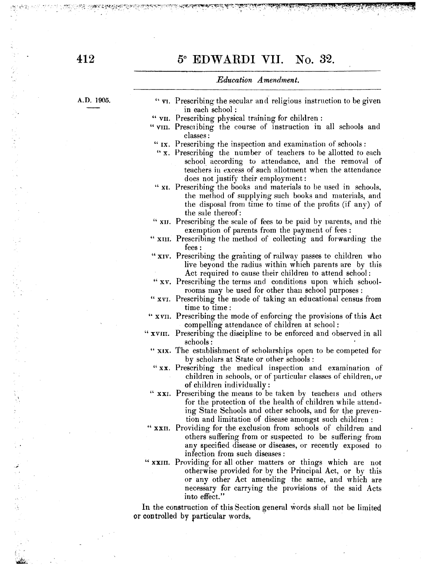### 5° **EDW ARDI VII. No. 32.**

~~~, \_-\_-~ ~~~~:;---;-,·\::~;~~~~¥J:i3~~'{ff0~~~~~~-'~i:~:t/::-~-~·~~~~-~?:-~:·!~~~f:\_~tL3""~~~~~.~~~?~~~~.:~~'ry~~~~-t'¥~'M~f~-!~~,,~t~~\*\${~~~)4ft.Mi

#### *Education Amendment.*

A.D. 1905.

| "v <sub>I</sub> . Prescribing the secular and religious instruction to be given |
|---------------------------------------------------------------------------------|
| in each school:                                                                 |
| " VII. Prescribing physical training for children:                              |

. ,-

- " VIII. Prescribing the course of instruction in all schools and classes:
- "IX. Prescribing the inspection and examination of schools:
- "x. Prescribing the number of teachers to be allotted to each school according to attendance, and the removal of teachers in excess of such allotment when the attendance does not justify their employment:
- "XI. Prescribing the books and materials to be used in schools, the method of supplying such books and materials, and the disposal from time to time of the profits (if any) of the sale thereof:
- " XII. Prescribing the scale of fees to be paid by parents, and the exemption of parents from the payment of fees:
- "XIlI. Prescribing the method of collecting and forwarding the fees:
- "XIV. Prescribing the granting of railway passes to children who live beyond the radius within which parents are by tbis Act required to cause their children to attend school:
- "XV. Prescribing the terms and conditions upon which schoolrooms may be used for other than school purposes:
- " XVI. Prescribing the mode of taking an educational census from time to time:
- " X VIl. Prescribing the mode of enforcing the provisions of this Act compelling attendance of children at school:
- " XVIII. Prescribing the discipline to be enforced and observed in all schools:
	- " XIX. The establishment of scholarships open to be competed for by scholars at State or other schools:
	- "XX. Prescribing the medical inspection and examination of children in schools, or of particular classes of children, ur of children individually:
	- " XXI. Prescribing the means to be taken by teachers and others for the protection of the health of children while attending State Schools and other schools, and for the prevention and limitation of disease amongst such children:
- "XXII. Providing for the exclusion from schools of children and others suffering from or suspected to be suffering from any specified disease or diseases, or recently exposed to infection from such diseases:
- "XXIII. Providing for all other matters or things which are not otherwise provided for by the Principal Act, or by this or any other Act amending the same, and which are necessary for carrying the provisions of the said Acts into effect."

**In** the construction of this Section general words shall not be limiteq or controlled by particular words. .

ふくしょう アール はんしょう にんけんしょう しょうきょう アイ・カー せんしゅうせい かいしょうこう

ون<br>د به

 $\hat{\phi}$ 1g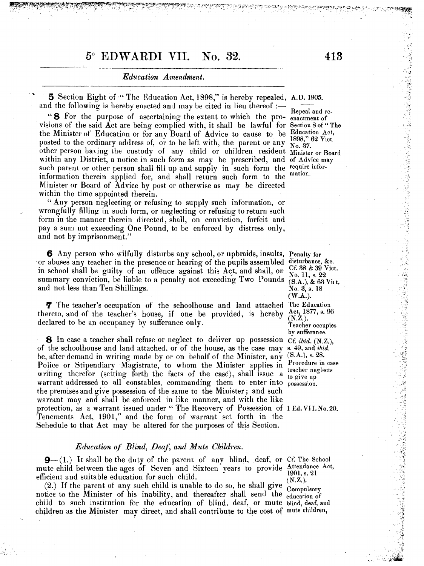### 50 **EDWARDI VII. No. 32. 413**

#### *Education Amendment .*

5 Section Eight of "The Education Act, 1898," is hereby repealed, A.D. 1905. and the following is hereby enacted and may be cited in lieu thereof :-

**8** For the purpose of ascertaining the extent to which the pro- enactment of visions of the said Act are being complied with, it shall be lawful for Section 8 of "The the Minister of Education or for any Board of Advice to cause to be Education Act, posted to the ordinary address of, or to be left with, the parent or any  $\frac{1000}{N_0.37}$ . other person having the custody of any child or children resident Minister or Board within any District, a notice in such form as may be prescribed, and of  $\Delta d$ vice may such parent or other person shall fill up and supply in such form the require inforinformation therein applied for, and shall return such form to the mation. Minister or Board of Advice by post or otherwise as may be directed within the time appointed therein.

" Any person neglecting or refusing to supply such information, or wrongfully filling in such form, or neglecting or refusing to return such form in the manner therein directed, shall, on conviction, forfeit and pay a sum not exeeeding One Pound, to be enforced by distress only, and not by imprisonment."

6 Any person who wilfully disturbs any school, or upbraids, insults, Penaltv for or abuses any teacher in the presence or hearing of the pupils assembled in school shall be guilty of an offence against this Act, and shall, on summary conviction, be liable to a penalty not exceeding Two Pounds and not less than Ten Shillings. .

**7** The teacher's occupation of the schoolhouse and land attached The Education thereto, and of the teacher's house, if one be provided, is hereby declared to he an occupancy by sufferance only.

8 In case a teacher shall refuse or neglect to deliver up possession Cf. *ibid.* (N.Z.), of the schoolhouse and land attached. or of the house, as the case may s. 49, and *ibid.*  be, after demand in writing made by or on behalf of the Minister, any Police or Stipendiary Magistrate, to whom the Minister applies in Procedure in case writing therefor (setting forth the facts of the case), shall issue a  $\frac{\text{teacder}}{\text{to give up}}$ warrant addressed to all constables, commanding them to enter into possession. the premises and give possession of the same to the Minister; and such warrant may and shall be enforced in like manner, and with the like protection, as a warrant issued under "The Recovery of Possession of 1 Ed. VII. No. 20. Tenements Act, 1901," and the form of warrant set forth in the Schedule to that Act may be altered for the purposes of this Section.

#### *Education of Blind, Deaf, and Mute Children.*

 $\mathbf{9}-(1)$ . It shall be the duty of the parent of any blind, deaf, or Cf. The School mute child between the ages of Seven and Sixteen years to provide Attendance Act, efficient and suitable education for such child.  $(NZ)$ 

efficient and suitable education for such child.<br>
(2.) If the parent of any such child is unable to do so, he shall give  $(X.Z.)$ <br>
Compulsory notice to the Minister of his inability, and thereafter shall send the education of child to such institution for the education of blind, deaf, or mute blind, deaf, and children as the Minister may direct, and shall contribute to the cost of mute children,

disturbance, &c. Cf. 38 & 39 Vict. No. 11, s. 22  $(S.A.), & 63$  Vitt. No. 3, s. 18 (W.A.). Act, 1877, s. 96  $(N.Z.).$ Teacher occupies by sufferance.  $(S.A.), s. 28.$ teacher neglects

 $, \downarrow$ 

(以後人民の)の法人のことを受ける